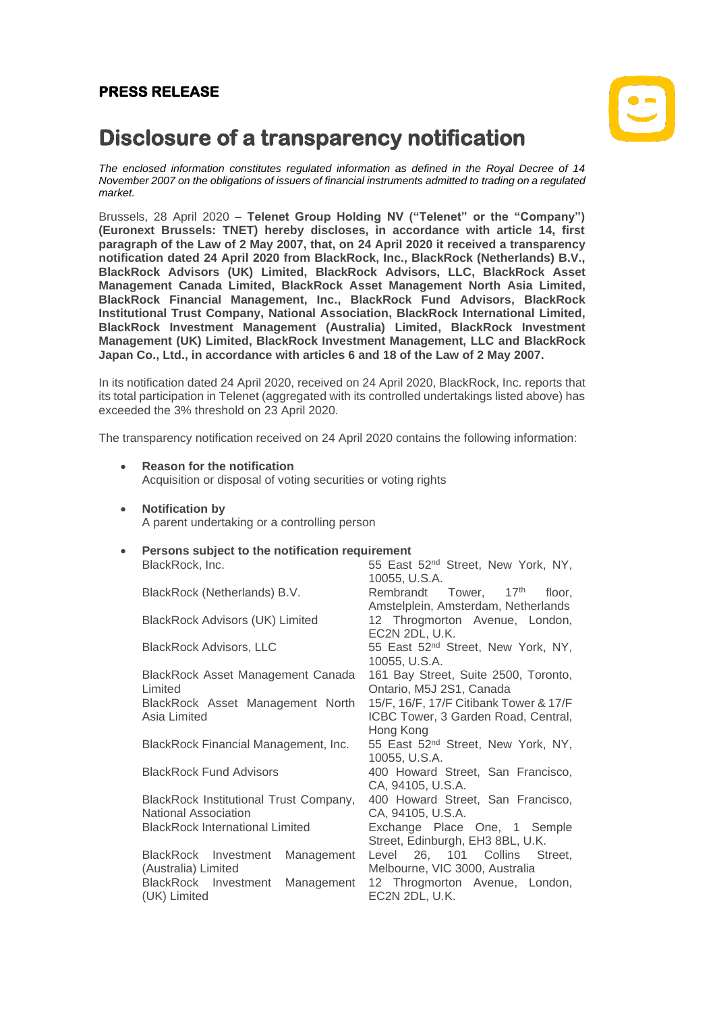## **PRESS RELEASE**



# **Disclosure of a transparency notification**

*The enclosed information constitutes regulated information as defined in the Royal Decree of 14 November 2007 on the obligations of issuers of financial instruments admitted to trading on a regulated market.*

Brussels, 28 April 2020 – **Telenet Group Holding NV ("Telenet" or the "Company") (Euronext Brussels: TNET) hereby discloses, in accordance with article 14, first paragraph of the Law of 2 May 2007, that, on 24 April 2020 it received a transparency notification dated 24 April 2020 from BlackRock, Inc., BlackRock (Netherlands) B.V., BlackRock Advisors (UK) Limited, BlackRock Advisors, LLC, BlackRock Asset Management Canada Limited, BlackRock Asset Management North Asia Limited, BlackRock Financial Management, Inc., BlackRock Fund Advisors, BlackRock Institutional Trust Company, National Association, BlackRock International Limited, BlackRock Investment Management (Australia) Limited, BlackRock Investment Management (UK) Limited, BlackRock Investment Management, LLC and BlackRock Japan Co., Ltd., in accordance with articles 6 and 18 of the Law of 2 May 2007.**

In its notification dated 24 April 2020, received on 24 April 2020, BlackRock, Inc. reports that its total participation in Telenet (aggregated with its controlled undertakings listed above) has exceeded the 3% threshold on 23 April 2020.

The transparency notification received on 24 April 2020 contains the following information:

- **Reason for the notification** Acquisition or disposal of voting securities or voting rights
- **Notification by**

A parent undertaking or a controlling person

#### • **Persons subject to the notification requirement**

| BlackRock, Inc.                                                       | 55 East 52 <sup>nd</sup> Street, New York, NY,<br>10055, U.S.A.               |  |  |
|-----------------------------------------------------------------------|-------------------------------------------------------------------------------|--|--|
| BlackRock (Netherlands) B.V.                                          | Rembrandt Tower, 17th<br>floor.<br>Amstelplein, Amsterdam, Netherlands        |  |  |
| <b>BlackRock Advisors (UK) Limited</b>                                | 12 Throgmorton Avenue, London,<br>EC2N 2DL, U.K.                              |  |  |
| <b>BlackRock Advisors, LLC</b>                                        | 55 East 52 <sup>nd</sup> Street, New York, NY,<br>10055, U.S.A.               |  |  |
| BlackRock Asset Management Canada<br>Limited                          | 161 Bay Street, Suite 2500, Toronto,<br>Ontario, M5J 2S1, Canada              |  |  |
| BlackRock Asset Management North<br>Asia Limited                      | 15/F, 16/F, 17/F Citibank Tower & 17/F<br>ICBC Tower, 3 Garden Road, Central, |  |  |
| BlackRock Financial Management, Inc.                                  | Hong Kong<br>55 East 52 <sup>nd</sup> Street, New York, NY,<br>10055, U.S.A.  |  |  |
| <b>BlackRock Fund Advisors</b>                                        | 400 Howard Street, San Francisco,<br>CA, 94105, U.S.A.                        |  |  |
| BlackRock Institutional Trust Company,<br><b>National Association</b> | 400 Howard Street, San Francisco,<br>CA, 94105, U.S.A.                        |  |  |
| <b>BlackRock International Limited</b>                                | Exchange Place One, 1 Semple<br>Street, Edinburgh, EH3 8BL, U.K.              |  |  |
| BlackRock Investment<br>Management<br>(Australia) Limited             | Level 26, 101 Collins Street,<br>Melbourne, VIC 3000, Australia               |  |  |
| BlackRock Investment<br>Management<br>(UK) Limited                    | 12 Throgmorton Avenue, London,<br>EC2N 2DL, U.K.                              |  |  |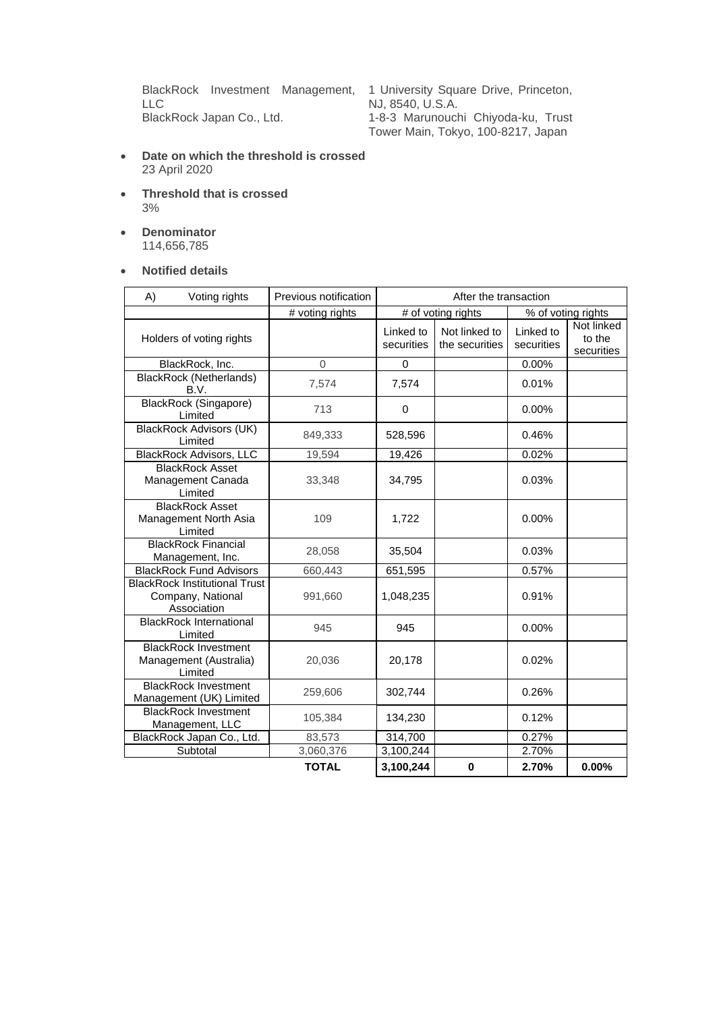BlackRock Investment Management, LLC<br>BlackRock Japan Co., Ltd.

1 University Square Drive, Princeton, NJ, 8540, U.S.A. 1-8-3 Marunouchi Chiyoda-ku, Trust Tower Main, Tokyo, 100-8217, Japan

- **Date on which the threshold is crossed** 23 April 2020
- **Threshold that is crossed** 3%
- **Denominator** 114,656,785
- **Notified details**

| A) | Voting rights                                                            | Previous notification | After the transaction   |                                 |                         |                                    |
|----|--------------------------------------------------------------------------|-----------------------|-------------------------|---------------------------------|-------------------------|------------------------------------|
|    |                                                                          | # voting rights       | # of voting rights      |                                 | % of voting rights      |                                    |
|    | Holders of voting rights                                                 |                       | Linked to<br>securities | Not linked to<br>the securities | Linked to<br>securities | Not linked<br>to the<br>securities |
|    | BlackRock, Inc.                                                          | $\Omega$              | 0                       |                                 | 0.00%                   |                                    |
|    | <b>BlackRock (Netherlands)</b><br>B.V.                                   | 7,574                 | 7,574                   |                                 | 0.01%                   |                                    |
|    | <b>BlackRock (Singapore)</b><br>Limited                                  | 713                   | 0                       |                                 | 0.00%                   |                                    |
|    | <b>BlackRock Advisors (UK)</b><br>Limited                                | 849,333               | 528,596                 |                                 | 0.46%                   |                                    |
|    | <b>BlackRock Advisors, LLC</b>                                           | 19,594                | 19,426                  |                                 | 0.02%                   |                                    |
|    | <b>BlackRock Asset</b><br>Management Canada<br>Limited                   | 33,348                | 34,795                  |                                 | 0.03%                   |                                    |
|    | <b>BlackRock Asset</b><br>Management North Asia<br>Limited               | 109                   | 1,722                   |                                 | 0.00%                   |                                    |
|    | <b>BlackRock Financial</b><br>Management, Inc.                           | 28,058                | 35,504                  |                                 | 0.03%                   |                                    |
|    | <b>BlackRock Fund Advisors</b>                                           | 660,443               | 651,595                 |                                 | 0.57%                   |                                    |
|    | <b>BlackRock Institutional Trust</b><br>Company, National<br>Association | 991,660               | 1,048,235               |                                 | 0.91%                   |                                    |
|    | <b>BlackRock International</b><br>Limited                                | 945                   | 945                     |                                 | 0.00%                   |                                    |
|    | <b>BlackRock Investment</b><br>Management (Australia)<br>Limited         | 20,036                | 20,178                  |                                 | 0.02%                   |                                    |
|    | <b>BlackRock Investment</b><br>Management (UK) Limited                   | 259,606               | 302,744                 |                                 | 0.26%                   |                                    |
|    | <b>BlackRock Investment</b><br>Management, LLC                           | 105,384               | 134,230                 |                                 | 0.12%                   |                                    |
|    | BlackRock Japan Co., Ltd.                                                | 83,573                | 314,700                 |                                 | 0.27%                   |                                    |
|    | Subtotal                                                                 | 3,060,376             | 3,100,244               |                                 | 2.70%                   |                                    |
|    |                                                                          | <b>TOTAL</b>          | 3,100,244               | $\bf{0}$                        | 2.70%                   | $0.00\%$                           |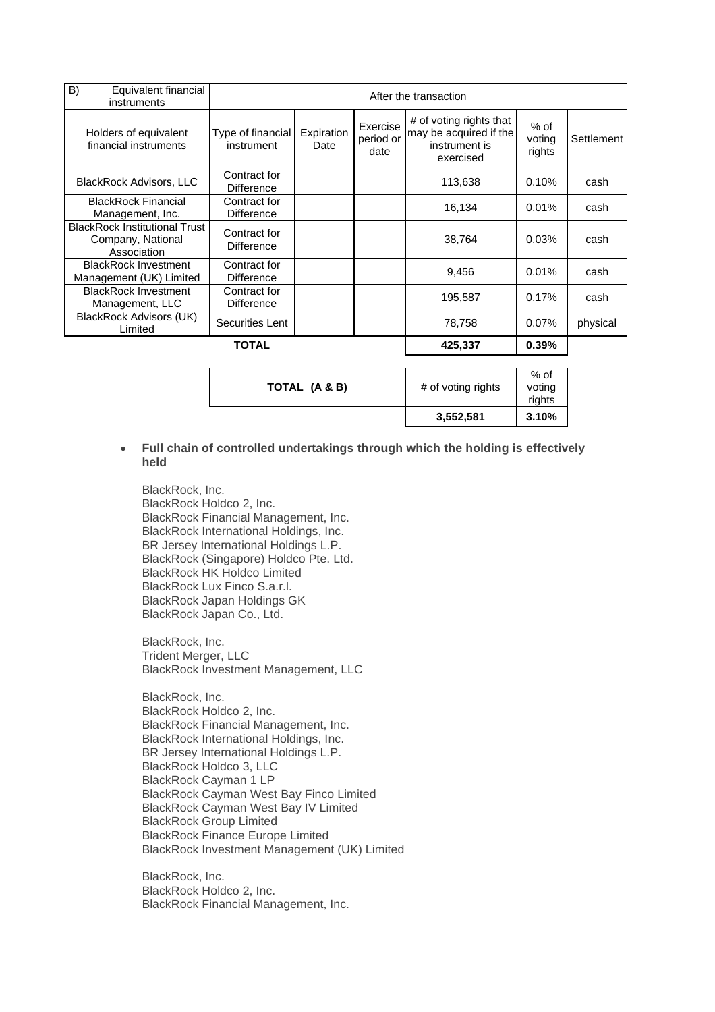| B)<br>Equivalent financial<br>instruments                                | After the transaction             |                    |                               |                                                                                 |                          |            |
|--------------------------------------------------------------------------|-----------------------------------|--------------------|-------------------------------|---------------------------------------------------------------------------------|--------------------------|------------|
| Holders of equivalent<br>financial instruments                           | Type of financial<br>instrument   | Expiration<br>Date | Exercise<br>period or<br>date | # of voting rights that<br>may be acquired if the<br>instrument is<br>exercised | % of<br>voting<br>rights | Settlement |
| <b>BlackRock Advisors, LLC</b>                                           | Contract for<br><b>Difference</b> |                    |                               | 113,638                                                                         | 0.10%                    | cash       |
| <b>BlackRock Financial</b><br>Management, Inc.                           | Contract for<br><b>Difference</b> |                    |                               | 16.134                                                                          | 0.01%                    | cash       |
| <b>BlackRock Institutional Trust</b><br>Company, National<br>Association | Contract for<br><b>Difference</b> |                    |                               | 38,764                                                                          | 0.03%                    | cash       |
| <b>BlackRock Investment</b><br>Management (UK) Limited                   | Contract for<br><b>Difference</b> |                    |                               | 9,456                                                                           | 0.01%                    | cash       |
| <b>BlackRock Investment</b><br>Management, LLC                           | Contract for<br><b>Difference</b> |                    |                               | 195,587                                                                         | 0.17%                    | cash       |
| BlackRock Advisors (UK)<br>Limited                                       | Securities Lent                   |                    |                               | 78,758                                                                          | 0.07%                    | physical   |
|                                                                          | TOTAL                             |                    |                               | 425,337                                                                         | 0.39%                    |            |

| $%$ of<br>TOTAL (A & B)<br># of voting rights<br>voting<br>rights | 3,552,581 | 3.10% |
|-------------------------------------------------------------------|-----------|-------|
|                                                                   |           |       |

### • **Full chain of controlled undertakings through which the holding is effectively held**

BlackRock, Inc. BlackRock Holdco 2, Inc. BlackRock Financial Management, Inc. BlackRock International Holdings, Inc. BR Jersey International Holdings L.P. BlackRock (Singapore) Holdco Pte. Ltd. BlackRock HK Holdco Limited BlackRock Lux Finco S.a.r.l. BlackRock Japan Holdings GK BlackRock Japan Co., Ltd.

BlackRock, Inc. Trident Merger, LLC BlackRock Investment Management, LLC

BlackRock, Inc. BlackRock Holdco 2, Inc. BlackRock Financial Management, Inc. BlackRock International Holdings, Inc. BR Jersey International Holdings L.P. BlackRock Holdco 3, LLC BlackRock Cayman 1 LP BlackRock Cayman West Bay Finco Limited BlackRock Cayman West Bay IV Limited BlackRock Group Limited BlackRock Finance Europe Limited BlackRock Investment Management (UK) Limited

BlackRock, Inc. BlackRock Holdco 2, Inc. BlackRock Financial Management, Inc.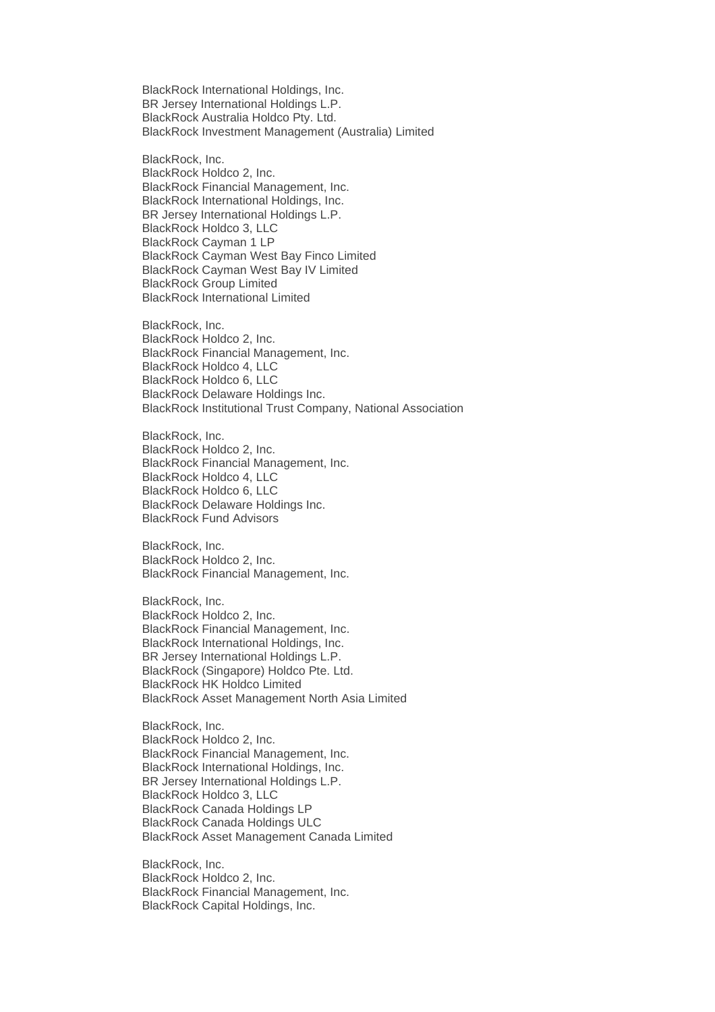BlackRock International Holdings, Inc. BR Jersey International Holdings L.P. BlackRock Australia Holdco Pty. Ltd. BlackRock Investment Management (Australia) Limited

BlackRock, Inc. BlackRock Holdco 2, Inc. BlackRock Financial Management, Inc. BlackRock International Holdings, Inc. BR Jersey International Holdings L.P. BlackRock Holdco 3, LLC BlackRock Cayman 1 LP BlackRock Cayman West Bay Finco Limited BlackRock Cayman West Bay IV Limited BlackRock Group Limited BlackRock International Limited

BlackRock, Inc. BlackRock Holdco 2, Inc. BlackRock Financial Management, Inc. BlackRock Holdco 4, LLC BlackRock Holdco 6, LLC BlackRock Delaware Holdings Inc. BlackRock Institutional Trust Company, National Association

BlackRock, Inc. BlackRock Holdco 2, Inc. BlackRock Financial Management, Inc. BlackRock Holdco 4, LLC BlackRock Holdco 6, LLC BlackRock Delaware Holdings Inc. BlackRock Fund Advisors

BlackRock, Inc. BlackRock Holdco 2, Inc. BlackRock Financial Management, Inc.

BlackRock, Inc. BlackRock Holdco 2, Inc. BlackRock Financial Management, Inc. BlackRock International Holdings, Inc. BR Jersey International Holdings L.P. BlackRock (Singapore) Holdco Pte. Ltd. BlackRock HK Holdco Limited BlackRock Asset Management North Asia Limited

BlackRock, Inc. BlackRock Holdco 2, Inc. BlackRock Financial Management, Inc. BlackRock International Holdings, Inc. BR Jersey International Holdings L.P. BlackRock Holdco 3, LLC BlackRock Canada Holdings LP BlackRock Canada Holdings ULC BlackRock Asset Management Canada Limited

BlackRock, Inc. BlackRock Holdco 2, Inc. BlackRock Financial Management, Inc. BlackRock Capital Holdings, Inc.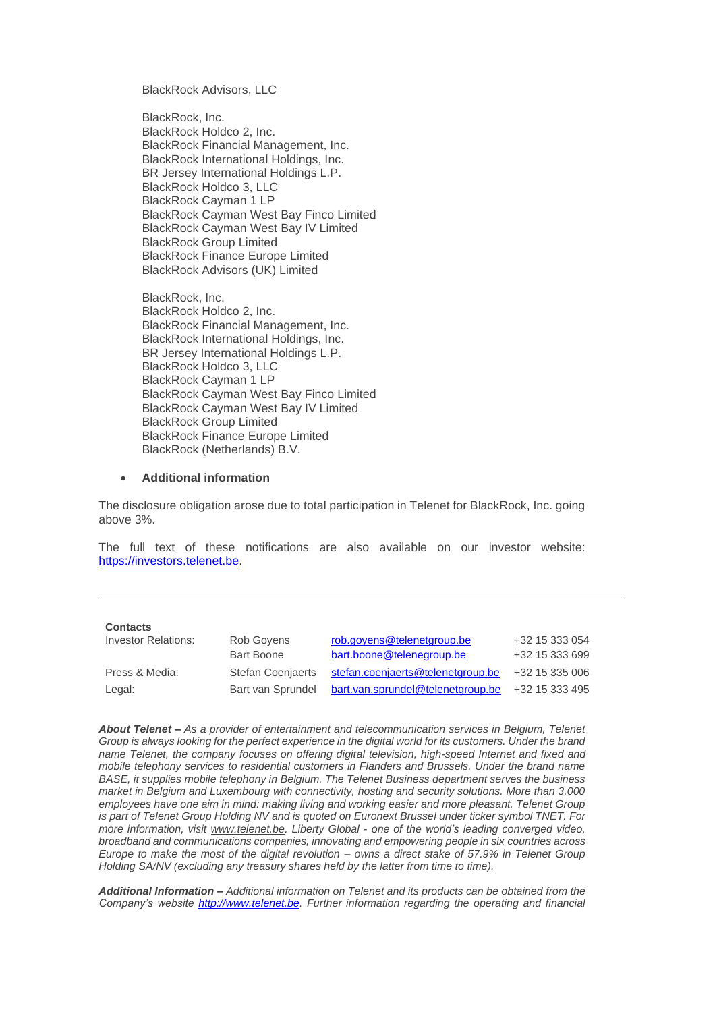BlackRock Advisors, LLC

BlackRock, Inc. BlackRock Holdco 2, Inc. BlackRock Financial Management, Inc. BlackRock International Holdings, Inc. BR Jersey International Holdings L.P. BlackRock Holdco 3, LLC BlackRock Cayman 1 LP BlackRock Cayman West Bay Finco Limited BlackRock Cayman West Bay IV Limited BlackRock Group Limited BlackRock Finance Europe Limited BlackRock Advisors (UK) Limited

BlackRock, Inc. BlackRock Holdco 2, Inc. BlackRock Financial Management, Inc. BlackRock International Holdings, Inc. BR Jersey International Holdings L.P. BlackRock Holdco 3, LLC BlackRock Cayman 1 LP BlackRock Cayman West Bay Finco Limited BlackRock Cayman West Bay IV Limited BlackRock Group Limited BlackRock Finance Europe Limited BlackRock (Netherlands) B.V.

#### • **Additional information**

The disclosure obligation arose due to total participation in Telenet for BlackRock, Inc. going above 3%.

The full text of these notifications are also available on our investor website: [https://investors.telenet.be.](https://investors.telenet.be/)

| Contacts |  |
|----------|--|
|----------|--|

| Investor Relations: | Rob Govens               | rob.govens@telenetgroup.be        | +32 15 333 054 |
|---------------------|--------------------------|-----------------------------------|----------------|
|                     | Bart Boone               | bart.boone@telenegroup.be         | +32 15 333 699 |
| Press & Media:      | <b>Stefan Coenjaerts</b> | stefan.coenjaerts@telenetgroup.be | +32 15 335 006 |
| Legal:              | Bart van Sprundel        | bart.van.sprundel@telenetgroup.be | +32 15 333 495 |

*About Telenet – As a provider of entertainment and telecommunication services in Belgium, Telenet Group is always looking for the perfect experience in the digital world for its customers. Under the brand name Telenet, the company focuses on offering digital television, high-speed Internet and fixed and mobile telephony services to residential customers in Flanders and Brussels. Under the brand name BASE, it supplies mobile telephony in Belgium. The Telenet Business department serves the business market in Belgium and Luxembourg with connectivity, hosting and security solutions. More than 3,000 employees have one aim in mind: making living and working easier and more pleasant. Telenet Group is part of Telenet Group Holding NV and is quoted on Euronext Brussel under ticker symbol TNET. For more information, visit [www.telenet.be.](https://www2.telenet.be/en/) Liberty Global - one of the world's leading converged video, broadband and communications companies, innovating and empowering people in six countries across Europe to make the most of the digital revolution – owns a direct stake of 57.9% in Telenet Group Holding SA/NV (excluding any treasury shares held by the latter from time to time).*

*Additional Information – Additional information on Telenet and its products can be obtained from the Company's website [http://www.telenet.be.](http://www.telenet.be/) Further information regarding the operating and financial*